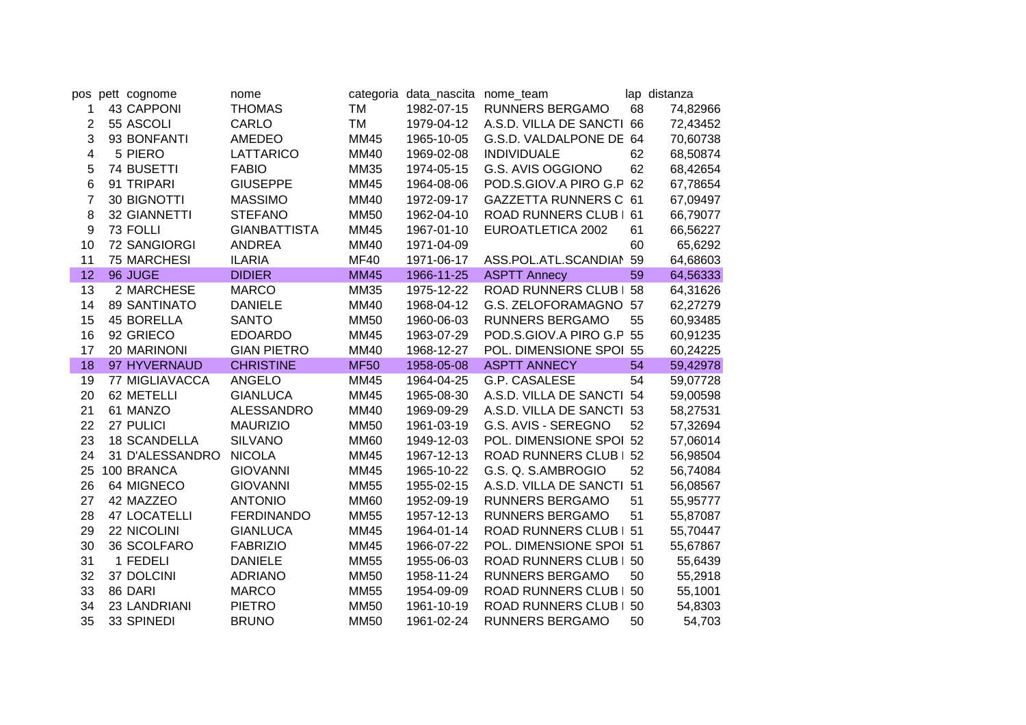| pos            | pett cognome        | nome                |             | categoria data_nascita nome_team |                               |    | lap distanza |
|----------------|---------------------|---------------------|-------------|----------------------------------|-------------------------------|----|--------------|
| 1              | <b>43 CAPPONI</b>   | <b>THOMAS</b>       | TM          | 1982-07-15                       | <b>RUNNERS BERGAMO</b>        | 68 | 74,82966     |
| 2              | 55 ASCOLI           | CARLO               | TM          | 1979-04-12                       | A.S.D. VILLA DE SANCTI        | 66 | 72,43452     |
| 3              | 93 BONFANTI         | <b>AMEDEO</b>       | <b>MM45</b> | 1965-10-05                       | G.S.D. VALDALPONE DE 64       |    | 70,60738     |
| 4              | 5 PIERO             | LATTARICO           | MM40        | 1969-02-08                       | <b>INDIVIDUALE</b>            | 62 | 68,50874     |
| 5              | 74 BUSETTI          | <b>FABIO</b>        | MM35        | 1974-05-15                       | G.S. AVIS OGGIONO             | 62 | 68,42654     |
| 6              | 91 TRIPARI          | <b>GIUSEPPE</b>     | <b>MM45</b> | 1964-08-06                       | POD.S.GIOV.A PIRO G.P         | 62 | 67,78654     |
| $\overline{7}$ | 30 BIGNOTTI         | <b>MASSIMO</b>      | MM40        | 1972-09-17                       | GAZZETTA RUNNERS C 61         |    | 67,09497     |
| 8              | 32 GIANNETTI        | <b>STEFANO</b>      | <b>MM50</b> | 1962-04-10                       | ROAD RUNNERS CLUB   61        |    | 66,79077     |
| 9              | 73 FOLLI            | <b>GIANBATTISTA</b> | <b>MM45</b> | 1967-01-10                       | EUROATLETICA 2002             | 61 | 66,56227     |
| 10             | 72 SANGIORGI        | <b>ANDREA</b>       | MM40        | 1971-04-09                       |                               | 60 | 65,6292      |
| 11             | <b>75 MARCHESI</b>  | <b>ILARIA</b>       | <b>MF40</b> | 1971-06-17                       | ASS.POL.ATL.SCANDIAN          | 59 | 64,68603     |
| 12             | 96 JUGE             | <b>DIDIER</b>       | <b>MM45</b> | 1966-11-25                       | <b>ASPTT Annecy</b>           | 59 | 64,56333     |
| 13             | 2 MARCHESE          | <b>MARCO</b>        | <b>MM35</b> | 1975-12-22                       | <b>ROAD RUNNERS CLUB   58</b> |    | 64,31626     |
| 14             | <b>89 SANTINATO</b> | <b>DANIELE</b>      | <b>MM40</b> | 1968-04-12                       | G.S. ZELOFORAMAGNO 57         |    | 62,27279     |
| 15             | <b>45 BORELLA</b>   | <b>SANTO</b>        | <b>MM50</b> | 1960-06-03                       | <b>RUNNERS BERGAMO</b>        | 55 | 60,93485     |
| 16             | 92 GRIECO           | <b>EDOARDO</b>      | <b>MM45</b> | 1963-07-29                       | POD.S.GIOV.A PIRO G.P 55      |    | 60,91235     |
| 17             | 20 MARINONI         | <b>GIAN PIETRO</b>  | <b>MM40</b> | 1968-12-27                       | POL. DIMENSIONE SPOI 55       |    | 60,24225     |
| 18             | 97 HYVERNAUD        | <b>CHRISTINE</b>    | <b>MF50</b> | 1958-05-08                       | <b>ASPTT ANNECY</b>           | 54 | 59,42978     |
| 19             | 77 MIGLIAVACCA      | <b>ANGELO</b>       | MM45        | 1964-04-25                       | G.P. CASALESE                 | 54 | 59,07728     |
| 20             | 62 METELLI          | <b>GIANLUCA</b>     | MM45        | 1965-08-30                       | A.S.D. VILLA DE SANCTI        | 54 | 59,00598     |
| 21             | 61 MANZO            | <b>ALESSANDRO</b>   | <b>MM40</b> | 1969-09-29                       | A.S.D. VILLA DE SANCTI        | 53 | 58,27531     |
| 22             | 27 PULICI           | <b>MAURIZIO</b>     | <b>MM50</b> | 1961-03-19                       | G.S. AVIS - SEREGNO           | 52 | 57,32694     |
| 23             | <b>18 SCANDELLA</b> | <b>SILVANO</b>      | <b>MM60</b> | 1949-12-03                       | POL. DIMENSIONE SPOI          | 52 | 57,06014     |
| 24             | 31 D'ALESSANDRO     | <b>NICOLA</b>       | <b>MM45</b> | 1967-12-13                       | <b>ROAD RUNNERS CLUB</b>      | 52 | 56,98504     |
| 25             | 100 BRANCA          | <b>GIOVANNI</b>     | MM45        | 1965-10-22                       | G.S. Q. S.AMBROGIO            | 52 | 56,74084     |
| 26             | 64 MIGNECO          | <b>GIOVANNI</b>     | <b>MM55</b> | 1955-02-15                       | A.S.D. VILLA DE SANCTI        | 51 | 56,08567     |
| 27             | 42 MAZZEO           | <b>ANTONIO</b>      | <b>MM60</b> | 1952-09-19                       | RUNNERS BERGAMO               | 51 | 55,95777     |
| 28             | <b>47 LOCATELLI</b> | <b>FERDINANDO</b>   | <b>MM55</b> | 1957-12-13                       | <b>RUNNERS BERGAMO</b>        | 51 | 55,87087     |
| 29             | 22 NICOLINI         | <b>GIANLUCA</b>     | MM45        | 1964-01-14                       | <b>ROAD RUNNERS CLUB</b>      | 51 | 55,70447     |
| 30             | 36 SCOLFARO         | <b>FABRIZIO</b>     | <b>MM45</b> | 1966-07-22                       | POL. DIMENSIONE SPOI 51       |    | 55,67867     |
| 31             | 1 FEDELI            | <b>DANIELE</b>      | <b>MM55</b> | 1955-06-03                       | <b>ROAD RUNNERS CLUB  </b>    | 50 | 55,6439      |
| 32             | 37 DOLCINI          | <b>ADRIANO</b>      | <b>MM50</b> | 1958-11-24                       | RUNNERS BERGAMO               | 50 | 55,2918      |
| 33             | 86 DARI             | <b>MARCO</b>        | <b>MM55</b> | 1954-09-09                       | <b>ROAD RUNNERS CLUB  </b>    | 50 | 55,1001      |
| 34             | 23 LANDRIANI        | <b>PIETRO</b>       | <b>MM50</b> | 1961-10-19                       | <b>ROAD RUNNERS CLUB</b>      | 50 | 54,8303      |
| 35             | 33 SPINEDI          | <b>BRUNO</b>        | <b>MM50</b> | 1961-02-24                       | RUNNERS BERGAMO               | 50 | 54,703       |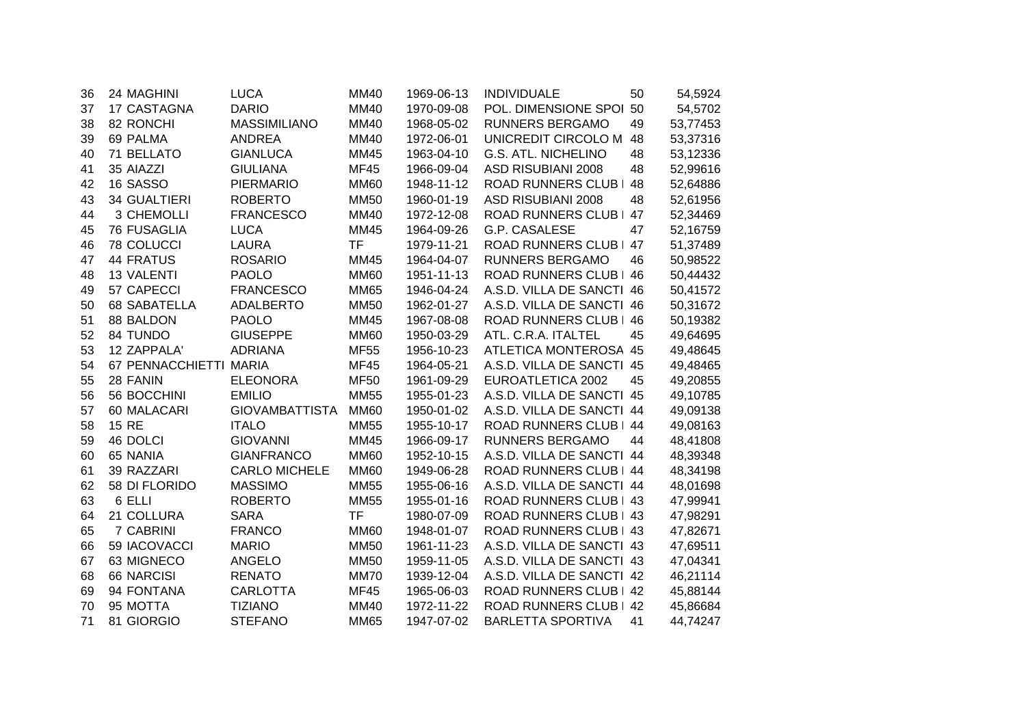| 36 | 24 MAGHINI          | <b>LUCA</b>           | <b>MM40</b> | 1969-06-13 | <b>INDIVIDUALE</b>         | 50 | 54,5924  |
|----|---------------------|-----------------------|-------------|------------|----------------------------|----|----------|
| 37 | 17 CASTAGNA         | <b>DARIO</b>          | <b>MM40</b> | 1970-09-08 | POL. DIMENSIONE SPOI 50    |    | 54,5702  |
| 38 | 82 RONCHI           | <b>MASSIMILIANO</b>   | <b>MM40</b> | 1968-05-02 | <b>RUNNERS BERGAMO</b>     | 49 | 53,77453 |
| 39 | 69 PALMA            | <b>ANDREA</b>         | <b>MM40</b> | 1972-06-01 | UNICREDIT CIRCOLO M        | 48 | 53,37316 |
| 40 | 71 BELLATO          | <b>GIANLUCA</b>       | <b>MM45</b> | 1963-04-10 | <b>G.S. ATL. NICHELINO</b> | 48 | 53,12336 |
| 41 | 35 AIAZZI           | <b>GIULIANA</b>       | <b>MF45</b> | 1966-09-04 | <b>ASD RISUBIANI 2008</b>  | 48 | 52,99616 |
| 42 | 16 SASSO            | <b>PIERMARIO</b>      | <b>MM60</b> | 1948-11-12 | <b>ROAD RUNNERS CLUB</b>   | 48 | 52,64886 |
| 43 | <b>34 GUALTIERI</b> | <b>ROBERTO</b>        | <b>MM50</b> | 1960-01-19 | <b>ASD RISUBIANI 2008</b>  | 48 | 52,61956 |
| 44 | 3 CHEMOLLI          | <b>FRANCESCO</b>      | <b>MM40</b> | 1972-12-08 | <b>ROAD RUNNERS CLUB  </b> | 47 | 52,34469 |
| 45 | <b>76 FUSAGLIA</b>  | <b>LUCA</b>           | MM45        | 1964-09-26 | G.P. CASALESE              | 47 | 52,16759 |
| 46 | <b>78 COLUCCI</b>   | LAURA                 | TF          | 1979-11-21 | ROAD RUNNERS CLUB   47     |    | 51,37489 |
| 47 | <b>44 FRATUS</b>    | <b>ROSARIO</b>        | <b>MM45</b> | 1964-04-07 | <b>RUNNERS BERGAMO</b>     | 46 | 50,98522 |
| 48 | <b>13 VALENTI</b>   | <b>PAOLO</b>          | <b>MM60</b> | 1951-11-13 | ROAD RUNNERS CLUB   46     |    | 50,44432 |
| 49 | 57 CAPECCI          | <b>FRANCESCO</b>      | <b>MM65</b> | 1946-04-24 | A.S.D. VILLA DE SANCTI 46  |    | 50,41572 |
| 50 | <b>68 SABATELLA</b> | <b>ADALBERTO</b>      | <b>MM50</b> | 1962-01-27 | A.S.D. VILLA DE SANCTI 46  |    | 50,31672 |
| 51 | 88 BALDON           | <b>PAOLO</b>          | <b>MM45</b> | 1967-08-08 | ROAD RUNNERS CLUB   46     |    | 50,19382 |
| 52 | 84 TUNDO            | <b>GIUSEPPE</b>       | <b>MM60</b> | 1950-03-29 | ATL. C.R.A. ITALTEL        | 45 | 49,64695 |
| 53 | 12 ZAPPALA'         | <b>ADRIANA</b>        | <b>MF55</b> | 1956-10-23 | ATLETICA MONTEROSA 45      |    | 49,48645 |
| 54 | 67 PENNACCHIETTI    | <b>MARIA</b>          | <b>MF45</b> | 1964-05-21 | A.S.D. VILLA DE SANCTI 45  |    | 49,48465 |
| 55 | 28 FANIN            | <b>ELEONORA</b>       | <b>MF50</b> | 1961-09-29 | EUROATLETICA 2002          | 45 | 49,20855 |
| 56 | 56 BOCCHINI         | <b>EMILIO</b>         | <b>MM55</b> | 1955-01-23 | A.S.D. VILLA DE SANCTI 45  |    | 49,10785 |
| 57 | 60 MALACARI         | <b>GIOVAMBATTISTA</b> | <b>MM60</b> | 1950-01-02 | A.S.D. VILLA DE SANCTI 44  |    | 49,09138 |
| 58 | <b>15 RE</b>        | <b>ITALO</b>          | <b>MM55</b> | 1955-10-17 | ROAD RUNNERS CLUB   44     |    | 49,08163 |
| 59 | 46 DOLCI            | <b>GIOVANNI</b>       | <b>MM45</b> | 1966-09-17 | RUNNERS BERGAMO            | 44 | 48,41808 |
| 60 | 65 NANIA            | <b>GIANFRANCO</b>     | <b>MM60</b> | 1952-10-15 | A.S.D. VILLA DE SANCTI 44  |    | 48,39348 |
| 61 | 39 RAZZARI          | <b>CARLO MICHELE</b>  | <b>MM60</b> | 1949-06-28 | ROAD RUNNERS CLUB   44     |    | 48,34198 |
| 62 | 58 DI FLORIDO       | <b>MASSIMO</b>        | <b>MM55</b> | 1955-06-16 | A.S.D. VILLA DE SANCTI 44  |    | 48,01698 |
| 63 | 6 ELLI              | <b>ROBERTO</b>        | <b>MM55</b> | 1955-01-16 | ROAD RUNNERS CLUB   43     |    | 47,99941 |
| 64 | 21 COLLURA          | <b>SARA</b>           | <b>TF</b>   | 1980-07-09 | ROAD RUNNERS CLUB   43     |    | 47,98291 |
| 65 | 7 CABRINI           | <b>FRANCO</b>         | <b>MM60</b> | 1948-01-07 | ROAD RUNNERS CLUB   43     |    | 47,82671 |
| 66 | 59 IACOVACCI        | <b>MARIO</b>          | <b>MM50</b> | 1961-11-23 | A.S.D. VILLA DE SANCTI 43  |    | 47,69511 |
| 67 | 63 MIGNECO          | <b>ANGELO</b>         | <b>MM50</b> | 1959-11-05 | A.S.D. VILLA DE SANCTI 43  |    | 47,04341 |
| 68 | 66 NARCISI          | <b>RENATO</b>         | <b>MM70</b> | 1939-12-04 | A.S.D. VILLA DE SANCTI 42  |    | 46,21114 |
| 69 | 94 FONTANA          | <b>CARLOTTA</b>       | <b>MF45</b> | 1965-06-03 | ROAD RUNNERS CLUB   42     |    | 45,88144 |
| 70 | 95 MOTTA            | <b>TIZIANO</b>        | <b>MM40</b> | 1972-11-22 | <b>ROAD RUNNERS CLUB</b>   | 42 | 45,86684 |
| 71 | 81 GIORGIO          | <b>STEFANO</b>        | <b>MM65</b> | 1947-07-02 | <b>BARLETTA SPORTIVA</b>   | 41 | 44,74247 |
|    |                     |                       |             |            |                            |    |          |